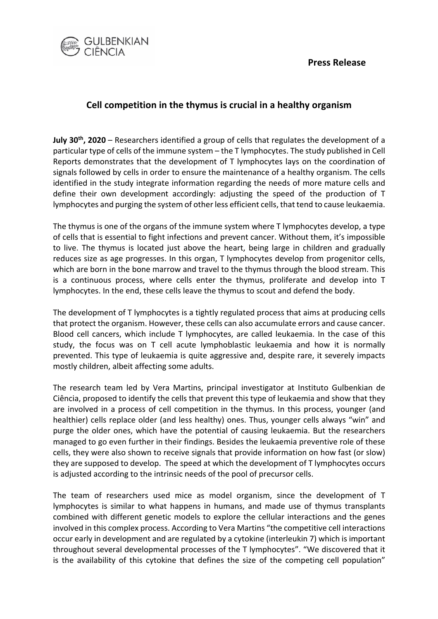

## **Cell competition in the thymus is crucial in a healthy organism**

**July 30th, 2020** – Researchers identified a group of cells that regulates the development of a particular type of cells of the immune system – the T lymphocytes. The study published in Cell Reports demonstrates that the development of T lymphocytes lays on the coordination of signals followed by cells in order to ensure the maintenance of a healthy organism. The cells identified in the study integrate information regarding the needs of more mature cells and define their own development accordingly: adjusting the speed of the production of T lymphocytes and purging the system of other less efficient cells, that tend to cause leukaemia.

The thymus is one of the organs of the immune system where T lymphocytes develop, a type of cells that is essential to fight infections and prevent cancer. Without them, it's impossible to live. The thymus is located just above the heart, being large in children and gradually reduces size as age progresses. In this organ, T lymphocytes develop from progenitor cells, which are born in the bone marrow and travel to the thymus through the blood stream. This is a continuous process, where cells enter the thymus, proliferate and develop into T lymphocytes. In the end, these cells leave the thymus to scout and defend the body.

The development of T lymphocytes is a tightly regulated process that aims at producing cells that protect the organism. However, these cells can also accumulate errors and cause cancer. Blood cell cancers, which include T lymphocytes, are called leukaemia. In the case of this study, the focus was on T cell acute lymphoblastic leukaemia and how it is normally prevented. This type of leukaemia is quite aggressive and, despite rare, it severely impacts mostly children, albeit affecting some adults.

The research team led by Vera Martins, principal investigator at Instituto Gulbenkian de Ciência, proposed to identify the cells that prevent this type of leukaemia and show that they are involved in a process of cell competition in the thymus. In this process, younger (and healthier) cells replace older (and less healthy) ones. Thus, younger cells always "win" and purge the older ones, which have the potential of causing leukaemia. But the researchers managed to go even further in their findings. Besides the leukaemia preventive role of these cells, they were also shown to receive signals that provide information on how fast (or slow) they are supposed to develop. The speed at which the development of T lymphocytes occurs is adjusted according to the intrinsic needs of the pool of precursor cells.

The team of researchers used mice as model organism, since the development of T lymphocytes is similar to what happens in humans, and made use of thymus transplants combined with different genetic models to explore the cellular interactions and the genes involved in this complex process. According to Vera Martins "the competitive cell interactions occur early in development and are regulated by a cytokine (interleukin 7) which is important throughout several developmental processes of the T lymphocytes". "We discovered that it is the availability of this cytokine that defines the size of the competing cell population"